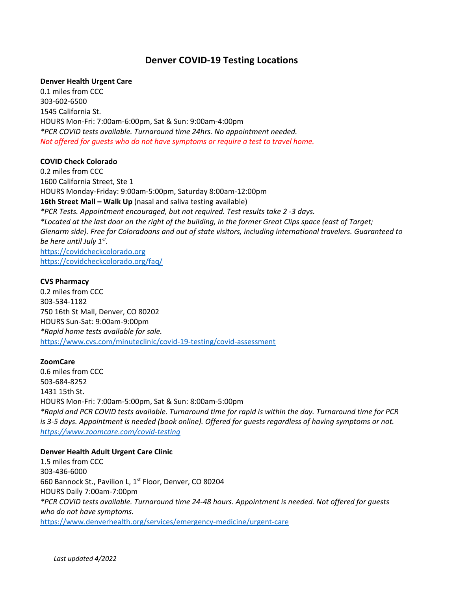# **Denver COVID-19 Testing Locations**

# **Denver Health Urgent Care**

0.1 miles from CCC 303-602-6500 1545 California St. HOURS Mon-Fri: 7:00am-6:00pm, Sat & Sun: 9:00am-4:00pm *\*PCR COVID tests available. Turnaround time 24hrs. No appointment needed. Not offered for guests who do not have symptoms or require a test to travel home.*

# **COVID Check Colorado**

0.2 miles from CCC 1600 California Street, Ste 1 HOURS Monday-Friday: 9:00am-5:00pm, Saturday 8:00am-12:00pm **16th Street Mall – Walk Up** (nasal and saliva testing available) *\*PCR Tests. Appointment encouraged, but not required. Test results take 2 -3 days. \*Located at the last door on the right of the building, in the former Great Clips space (east of Target; Glenarm side). Free for Coloradoans and out of state visitors, including international travelers. Guaranteed to be here until July 1st .* [https://covidcheckcolorado.org](https://covidcheckcolorado.org/) <https://covidcheckcolorado.org/faq/>

# **CVS Pharmacy**

0.2 miles from CCC 303-534-1182 750 16th St Mall, Denver, CO 80202 HOURS Sun-Sat: 9:00am-9:00pm *\*Rapid home tests available for sale.* <https://www.cvs.com/minuteclinic/covid-19-testing/covid-assessment>

#### **ZoomCare**

0.6 miles from CCC 503-684-8252 1431 15th St. HOURS Mon-Fri: 7:00am-5:00pm, Sat & Sun: 8:00am-5:00pm *\*Rapid and PCR COVID tests available. Turnaround time for rapid is within the day. Turnaround time for PCR is 3-5 days. Appointment is needed (book online). Offered for guests regardless of having symptoms or not. <https://www.zoomcare.com/covid-testing>*

#### **Denver Health Adult Urgent Care Clinic**

1.5 miles from CCC 303-436-6000 660 Bannock St., Pavilion L, 1<sup>st</sup> Floor, Denver, CO 80204 HOURS Daily 7:00am-7:00pm *\*PCR COVID tests available. Turnaround time 24-48 hours. Appointment is needed. Not offered for guests who do not have symptoms.* <https://www.denverhealth.org/services/emergency-medicine/urgent-care>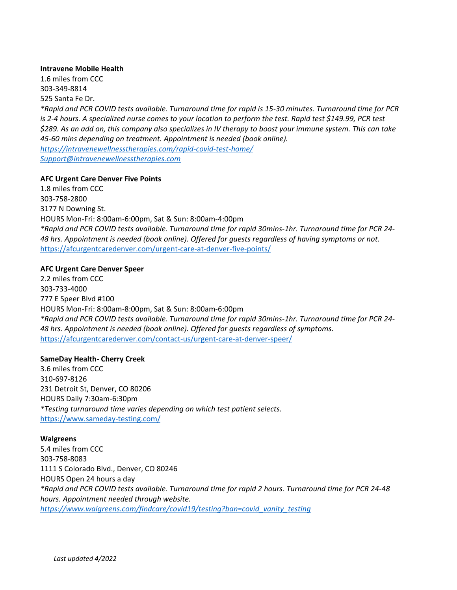#### **Intravene Mobile Health**

1.6 miles from CCC 303-349-8814 525 Santa Fe Dr. *\*Rapid and PCR COVID tests available. Turnaround time for rapid is 15-30 minutes. Turnaround time for PCR is 2-4 hours. A specialized nurse comes to your location to perform the test. Rapid test \$149.99, PCR test \$289. As an add on, this company also specializes in IV therapy to boost your immune system. This can take 45-60 mins depending on treatment. Appointment is needed (book online). <https://intravenewellnesstherapies.com/rapid-covid-test-home/> [Support@intravenewellnesstherapies.com](mailto:Support@intravenewellnesstherapies.com)*

# **AFC Urgent Care Denver Five Points**

1.8 miles from CCC 303-758-2800 3177 N Downing St. HOURS Mon-Fri: 8:00am-6:00pm, Sat & Sun: 8:00am-4:00pm *\*Rapid and PCR COVID tests available. Turnaround time for rapid 30mins-1hr. Turnaround time for PCR 24- 48 hrs. Appointment is needed (book online). Offered for guests regardless of having symptoms or not.* <https://afcurgentcaredenver.com/urgent-care-at-denver-five-points/>

# **AFC Urgent Care Denver Speer**

2.2 miles from CCC 303-733-4000 777 E Speer Blvd #100 HOURS Mon-Fri: 8:00am-8:00pm, Sat & Sun: 8:00am-6:00pm *\*Rapid and PCR COVID tests available. Turnaround time for rapid 30mins-1hr. Turnaround time for PCR 24- 48 hrs. Appointment is needed (book online). Offered for guests regardless of symptoms.* <https://afcurgentcaredenver.com/contact-us/urgent-care-at-denver-speer/>

#### **SameDay Health- Cherry Creek**

3.6 miles from CCC 310-697-8126 231 Detroit St, Denver, CO 80206 HOURS Daily 7:30am-6:30pm *\*Testing turnaround time varies depending on which test patient selects.* <https://www.sameday-testing.com/>

#### **Walgreens**

5.4 miles from CCC 303-758-8083 1111 S Colorado Blvd., Denver, CO 80246 HOURS Open 24 hours a day *\*Rapid and PCR COVID tests available. Turnaround time for rapid 2 hours. Turnaround time for PCR 24-48 hours. Appointment needed through website. [https://www.walgreens.com/findcare/covid19/testing?ban=covid\\_vanity\\_testing](https://www.walgreens.com/findcare/covid19/testing?ban=covid_vanity_testing)*